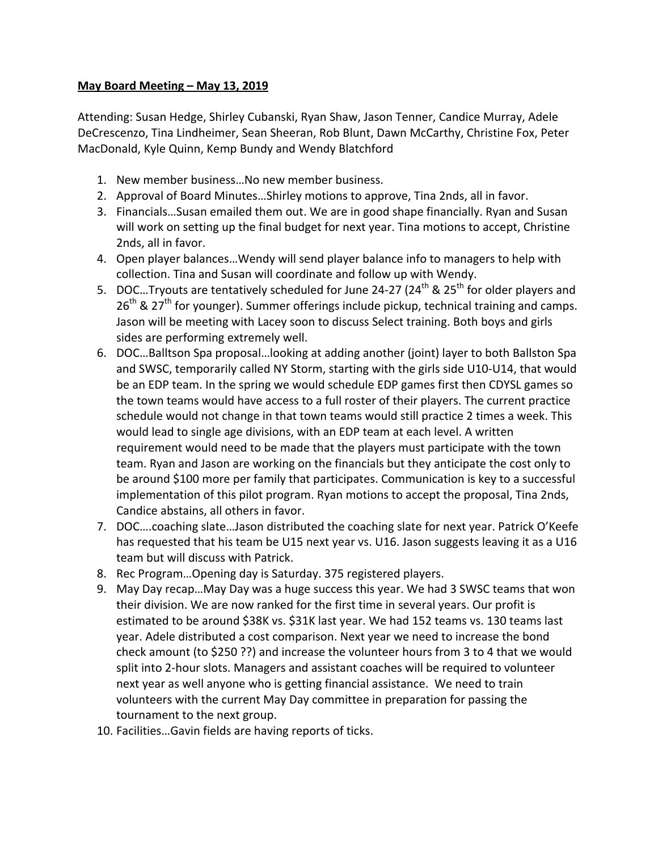## **May Board Meeting – May 13, 2019**

Attending: Susan Hedge, Shirley Cubanski, Ryan Shaw, Jason Tenner, Candice Murray, Adele DeCrescenzo, Tina Lindheimer, Sean Sheeran, Rob Blunt, Dawn McCarthy, Christine Fox, Peter MacDonald, Kyle Quinn, Kemp Bundy and Wendy Blatchford

- 1. New member business...No new member business.
- 2. Approval of Board Minutes...Shirley motions to approve, Tina 2nds, all in favor.
- 3. Financials...Susan emailed them out. We are in good shape financially. Ryan and Susan will work on setting up the final budget for next year. Tina motions to accept, Christine 2nds, all in favor.
- 4. Open player balances...Wendy will send player balance info to managers to help with collection. Tina and Susan will coordinate and follow up with Wendy.
- 5. DOC...Tryouts are tentatively scheduled for June 24-27 (24<sup>th</sup> & 25<sup>th</sup> for older players and  $26<sup>th</sup>$  & 27<sup>th</sup> for younger). Summer offerings include pickup, technical training and camps. Jason will be meeting with Lacey soon to discuss Select training. Both boys and girls sides are performing extremely well.
- 6. DOC...Balltson Spa proposal...looking at adding another (joint) layer to both Ballston Spa and SWSC, temporarily called NY Storm, starting with the girls side U10-U14, that would be an EDP team. In the spring we would schedule EDP games first then CDYSL games so the town teams would have access to a full roster of their players. The current practice schedule would not change in that town teams would still practice 2 times a week. This would lead to single age divisions, with an EDP team at each level. A written requirement would need to be made that the players must participate with the town team. Ryan and Jason are working on the financials but they anticipate the cost only to be around \$100 more per family that participates. Communication is key to a successful implementation of this pilot program. Ryan motions to accept the proposal, Tina 2nds, Candice abstains, all others in favor.
- 7. DOC....coaching slate...Jason distributed the coaching slate for next year. Patrick O'Keefe has requested that his team be U15 next year vs. U16. Jason suggests leaving it as a U16 team but will discuss with Patrick.
- 8. Rec Program...Opening day is Saturday. 375 registered players.
- 9. May Day recap... May Day was a huge success this year. We had 3 SWSC teams that won their division. We are now ranked for the first time in several years. Our profit is estimated to be around \$38K vs. \$31K last year. We had 152 teams vs. 130 teams last year. Adele distributed a cost comparison. Next year we need to increase the bond check amount (to \$250 ??) and increase the volunteer hours from 3 to 4 that we would split into 2-hour slots. Managers and assistant coaches will be required to volunteer next year as well anyone who is getting financial assistance. We need to train volunteers with the current May Day committee in preparation for passing the tournament to the next group.
- 10. Facilities...Gavin fields are having reports of ticks.